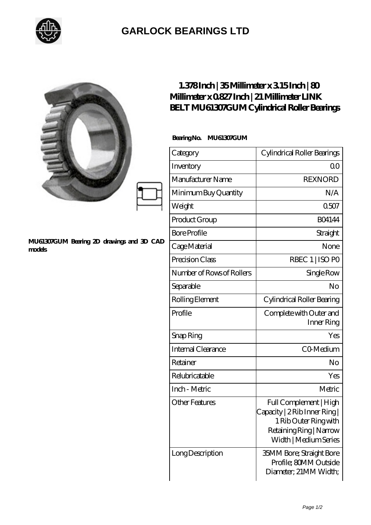

## **[GARLOCK BEARINGS LTD](https://m.letterstopriests.com)**

|                                                     | $1.378$ Inch   35Millimeter x 315Inch   80<br>Millimeter x 0827 Inch   21 Millimeter LINK<br>BELT MU61307GUM Cylindrical Roller Bearings |                                                                                                                                      |
|-----------------------------------------------------|------------------------------------------------------------------------------------------------------------------------------------------|--------------------------------------------------------------------------------------------------------------------------------------|
| MU61307GUM Bearing 2D drawings and 3D CAD<br>models | BearingNo. MU61307GUM                                                                                                                    |                                                                                                                                      |
|                                                     | Category                                                                                                                                 | Cylindrical Roller Bearings                                                                                                          |
|                                                     | Inventory                                                                                                                                | 0 <sup>0</sup>                                                                                                                       |
|                                                     | Manufacturer Name                                                                                                                        | <b>REXNORD</b>                                                                                                                       |
|                                                     | Minimum Buy Quantity                                                                                                                     | N/A                                                                                                                                  |
|                                                     | Weight                                                                                                                                   | 0.507                                                                                                                                |
|                                                     | Product Group                                                                                                                            | <b>BO4144</b>                                                                                                                        |
|                                                     | <b>Bore Profile</b>                                                                                                                      | Straight                                                                                                                             |
|                                                     | Cage Material                                                                                                                            | None                                                                                                                                 |
|                                                     | Precision Class                                                                                                                          | RBEC 1   ISO PO                                                                                                                      |
|                                                     | Number of Rows of Rollers                                                                                                                | Single Row                                                                                                                           |
|                                                     | Separable                                                                                                                                | No                                                                                                                                   |
|                                                     | Rolling Element                                                                                                                          | Cylindrical Roller Bearing                                                                                                           |
|                                                     | Profile                                                                                                                                  | Complete with Outer and<br>Inner Ring                                                                                                |
|                                                     | Snap Ring                                                                                                                                | Yes                                                                                                                                  |
|                                                     | Internal Clearance                                                                                                                       | CO-Medium                                                                                                                            |
|                                                     | Retainer                                                                                                                                 | No                                                                                                                                   |
|                                                     | Relubricatable                                                                                                                           | Yes                                                                                                                                  |
|                                                     | Inch - Metric                                                                                                                            | Metric                                                                                                                               |
|                                                     | <b>Other Features</b>                                                                                                                    | Full Complement   High<br>Capacity   2 Rib Inner Ring  <br>1 Rib Outer Ring with<br>Retaining Ring   Narrow<br>Width   Medium Series |
|                                                     | Long Description                                                                                                                         | <b>35MM Bore; Straight Bore</b><br>Profile; 80MM Outside<br>Diameter; 21MM Width;                                                    |